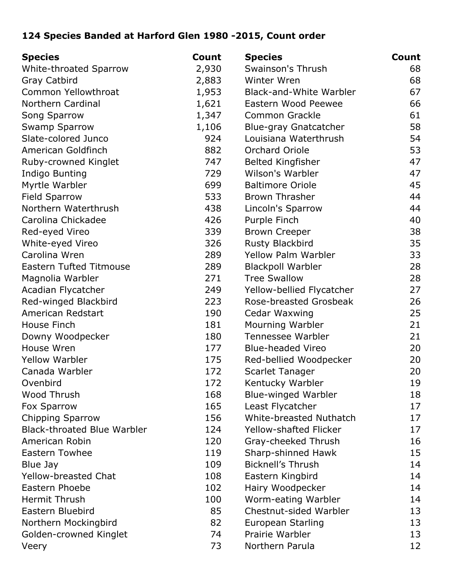## **124 Species Banded at Harford Glen 1980 -2015, Count order**

| <b>Species</b>                     | Count | <b>Species</b>                | Count |
|------------------------------------|-------|-------------------------------|-------|
| White-throated Sparrow             | 2,930 | Swainson's Thrush             | 68    |
| <b>Gray Catbird</b>                | 2,883 | Winter Wren                   | 68    |
| Common Yellowthroat                | 1,953 | Black-and-White Warbler       | 67    |
| Northern Cardinal                  | 1,621 | Eastern Wood Peewee           | 66    |
| Song Sparrow                       | 1,347 | Common Grackle                | 61    |
| <b>Swamp Sparrow</b>               | 1,106 | Blue-gray Gnatcatcher         | 58    |
| Slate-colored Junco                | 924   | Louisiana Waterthrush         | 54    |
| American Goldfinch                 | 882   | Orchard Oriole                | 53    |
| Ruby-crowned Kinglet               | 747   | <b>Belted Kingfisher</b>      | 47    |
| Indigo Bunting                     | 729   | Wilson's Warbler              | 47    |
| Myrtle Warbler                     | 699   | <b>Baltimore Oriole</b>       | 45    |
| <b>Field Sparrow</b>               | 533   | <b>Brown Thrasher</b>         | 44    |
| Northern Waterthrush               | 438   | Lincoln's Sparrow             | 44    |
| Carolina Chickadee                 | 426   | Purple Finch                  | 40    |
| Red-eyed Vireo                     | 339   | <b>Brown Creeper</b>          | 38    |
| White-eyed Vireo                   | 326   | Rusty Blackbird               | 35    |
| Carolina Wren                      | 289   | <b>Yellow Palm Warbler</b>    | 33    |
| <b>Eastern Tufted Titmouse</b>     | 289   | <b>Blackpoll Warbler</b>      | 28    |
| Magnolia Warbler                   | 271   | <b>Tree Swallow</b>           | 28    |
| Acadian Flycatcher                 | 249   | Yellow-bellied Flycatcher     | 27    |
| Red-winged Blackbird               | 223   | Rose-breasted Grosbeak        | 26    |
| American Redstart                  | 190   | Cedar Waxwing                 | 25    |
| House Finch                        | 181   | Mourning Warbler              | 21    |
| Downy Woodpecker                   | 180   | Tennessee Warbler             | 21    |
| House Wren                         | 177   | <b>Blue-headed Vireo</b>      | 20    |
| <b>Yellow Warbler</b>              | 175   | Red-bellied Woodpecker        | 20    |
| Canada Warbler                     | 172   | <b>Scarlet Tanager</b>        | 20    |
| Ovenbird                           | 172   | Kentucky Warbler              | 19    |
| Wood Thrush                        | 168   | <b>Blue-winged Warbler</b>    | 18    |
| Fox Sparrow                        | 165   | Least Flycatcher              | 17    |
| <b>Chipping Sparrow</b>            | 156   | White-breasted Nuthatch       | 17    |
| <b>Black-throated Blue Warbler</b> | 124   | <b>Yellow-shafted Flicker</b> | 17    |
| American Robin                     | 120   | Gray-cheeked Thrush           | 16    |
| <b>Eastern Towhee</b>              | 119   | Sharp-shinned Hawk            | 15    |
| Blue Jay                           | 109   | <b>Bicknell's Thrush</b>      | 14    |
| <b>Yellow-breasted Chat</b>        | 108   | Eastern Kingbird              | 14    |
| Eastern Phoebe                     | 102   | Hairy Woodpecker              | 14    |
| Hermit Thrush                      | 100   | Worm-eating Warbler           | 14    |
| Eastern Bluebird                   | 85    | Chestnut-sided Warbler        | 13    |
| Northern Mockingbird               | 82    | European Starling             | 13    |
| Golden-crowned Kinglet             | 74    | Prairie Warbler               | 13    |
| Veery                              | 73    | Northern Parula               | 12    |